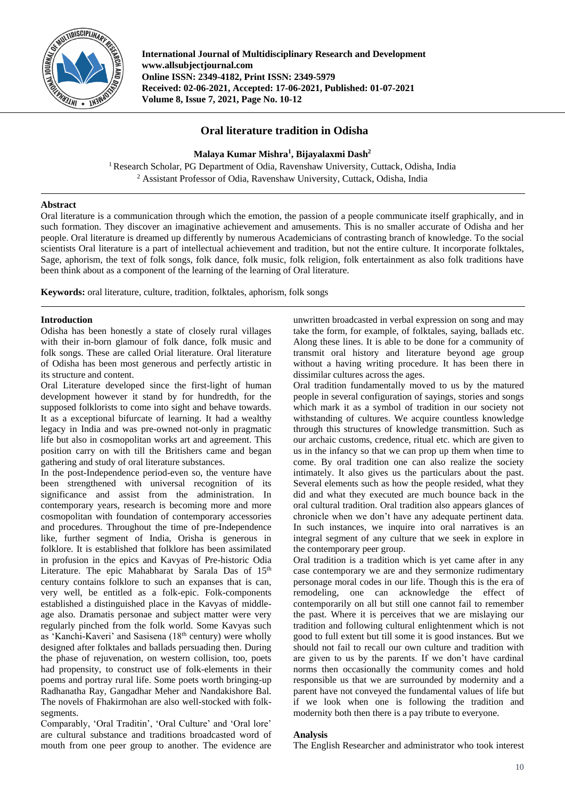

**International Journal of Multidisciplinary Research and Development www.allsubjectjournal.com Online ISSN: 2349-4182, Print ISSN: 2349-5979 Received: 02-06-2021, Accepted: 17-06-2021, Published: 01-07-2021 Volume 8, Issue 7, 2021, Page No. 10-12**

# **Oral literature tradition in Odisha**

**Malaya Kumar Mishra<sup>1</sup> , Bijayalaxmi Dash<sup>2</sup>**

<sup>1</sup> Research Scholar, PG Department of Odia, Ravenshaw University, Cuttack, Odisha, India <sup>2</sup> Assistant Professor of Odia, Ravenshaw University, Cuttack, Odisha, India

## **Abstract**

Oral literature is a communication through which the emotion, the passion of a people communicate itself graphically, and in such formation. They discover an imaginative achievement and amusements. This is no smaller accurate of Odisha and her people. Oral literature is dreamed up differently by numerous Academicians of contrasting branch of knowledge. To the social scientists Oral literature is a part of intellectual achievement and tradition, but not the entire culture. It incorporate folktales, Sage, aphorism, the text of folk songs, folk dance, folk music, folk religion, folk entertainment as also folk traditions have been think about as a component of the learning of the learning of Oral literature.

**Keywords:** oral literature, culture, tradition, folktales, aphorism, folk songs

## **Introduction**

Odisha has been honestly a state of closely rural villages with their in-born glamour of folk dance, folk music and folk songs. These are called Orial literature. Oral literature of Odisha has been most generous and perfectly artistic in its structure and content.

Oral Literature developed since the first-light of human development however it stand by for hundredth, for the supposed folklorists to come into sight and behave towards. It as a exceptional bifurcate of learning. It had a wealthy legacy in India and was pre-owned not-only in pragmatic life but also in cosmopolitan works art and agreement. This position carry on with till the Britishers came and began gathering and study of oral literature substances.

In the post-Independence period-even so, the venture have been strengthened with universal recognition of its significance and assist from the administration. In contemporary years, research is becoming more and more cosmopolitan with foundation of contemporary accessories and procedures. Throughout the time of pre-Independence like, further segment of India, Orisha is generous in folklore. It is established that folklore has been assimilated in profusion in the epics and Kavyas of Pre-historic Odia Literature. The epic Mahabharat by Sarala Das of 15<sup>th</sup> century contains folklore to such an expanses that is can, very well, be entitled as a folk-epic. Folk-components established a distinguished place in the Kavyas of middleage also. Dramatis personae and subject matter were very regularly pinched from the folk world. Some Kavyas such as 'Kanchi-Kaveri' and Sasisena (18<sup>th</sup> century) were wholly designed after folktales and ballads persuading then. During the phase of rejuvenation, on western collision, too, poets had propensity, to construct use of folk-elements in their poems and portray rural life. Some poets worth bringing-up Radhanatha Ray, Gangadhar Meher and Nandakishore Bal. The novels of Fhakirmohan are also well-stocked with folksegments.

Comparably, 'Oral Traditin', 'Oral Culture' and 'Oral lore' are cultural substance and traditions broadcasted word of mouth from one peer group to another. The evidence are unwritten broadcasted in verbal expression on song and may take the form, for example, of folktales, saying, ballads etc. Along these lines. It is able to be done for a community of transmit oral history and literature beyond age group without a having writing procedure. It has been there in dissimilar cultures across the ages.

Oral tradition fundamentally moved to us by the matured people in several configuration of sayings, stories and songs which mark it as a symbol of tradition in our society not withstanding of cultures. We acquire countless knowledge through this structures of knowledge transmittion. Such as our archaic customs, credence, ritual etc. which are given to us in the infancy so that we can prop up them when time to come. By oral tradition one can also realize the society intimately. It also gives us the particulars about the past. Several elements such as how the people resided, what they did and what they executed are much bounce back in the oral cultural tradition. Oral tradition also appears glances of chronicle when we don't have any adequate pertinent data. In such instances, we inquire into oral narratives is an integral segment of any culture that we seek in explore in the contemporary peer group.

Oral tradition is a tradition which is yet came after in any case contemporary we are and they sermonize rudimentary personage moral codes in our life. Though this is the era of remodeling, one can acknowledge the effect of contemporarily on all but still one cannot fail to remember the past. Where it is perceives that we are mislaying our tradition and following cultural enlightenment which is not good to full extent but till some it is good instances. But we should not fail to recall our own culture and tradition with are given to us by the parents. If we don't have cardinal norms then occasionally the community comes and hold responsible us that we are surrounded by modernity and a parent have not conveyed the fundamental values of life but if we look when one is following the tradition and modernity both then there is a pay tribute to everyone.

## **Analysis**

The English Researcher and administrator who took interest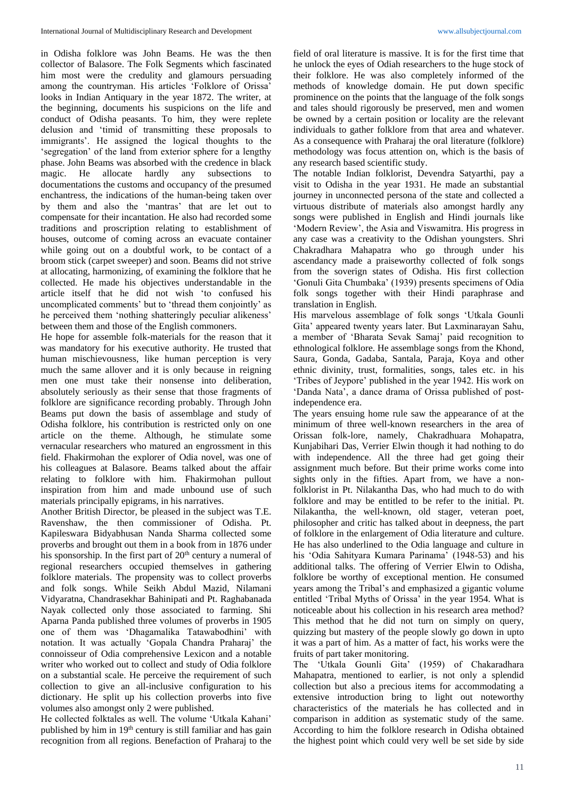in Odisha folklore was John Beams. He was the then collector of Balasore. The Folk Segments which fascinated him most were the credulity and glamours persuading among the countryman. His articles 'Folklore of Orissa' looks in Indian Antiquary in the year 1872. The writer, at the beginning, documents his suspicions on the life and conduct of Odisha peasants. To him, they were replete delusion and 'timid of transmitting these proposals to immigrants'. He assigned the logical thoughts to the 'segregation' of the land from exterior sphere for a lengthy phase. John Beams was absorbed with the credence in black magic. He allocate hardly any subsections to documentations the customs and occupancy of the presumed enchantress, the indications of the human-being taken over by them and also the 'mantras' that are let out to compensate for their incantation. He also had recorded some traditions and proscription relating to establishment of houses, outcome of coming across an evacuate container while going out on a doubtful work, to be contact of a broom stick (carpet sweeper) and soon. Beams did not strive at allocating, harmonizing, of examining the folklore that he collected. He made his objectives understandable in the article itself that he did not wish 'to confused his uncomplicated comments' but to 'thread them conjointly' as he perceived them 'nothing shatteringly peculiar alikeness' between them and those of the English commoners.

He hope for assemble folk-materials for the reason that it was mandatory for his executive authority. He trusted that human mischievousness, like human perception is very much the same allover and it is only because in reigning men one must take their nonsense into deliberation, absolutely seriously as their sense that those fragments of folklore are significance recording probably. Through John Beams put down the basis of assemblage and study of Odisha folklore, his contribution is restricted only on one article on the theme. Although, he stimulate some vernacular researchers who matured an engrossment in this field. Fhakirmohan the explorer of Odia novel, was one of his colleagues at Balasore. Beams talked about the affair relating to folklore with him. Fhakirmohan pullout inspiration from him and made unbound use of such materials principally epigrams, in his narratives.

Another British Director, be pleased in the subject was T.E. Ravenshaw, the then commissioner of Odisha. Pt. Kapileswara Bidyabhusan Nanda Sharma collected some proverbs and brought out them in a book from in 1876 under his sponsorship. In the first part of  $20<sup>th</sup>$  century a numeral of regional researchers occupied themselves in gathering folklore materials. The propensity was to collect proverbs and folk songs. While Seikh Abdul Mazid, Nilamani Vidyaratna, Chandrasekhar Bahinipati and Pt. Raghabanada Nayak collected only those associated to farming. Shi Aparna Panda published three volumes of proverbs in 1905 one of them was 'Dhagamalika Tatawabodhini' with notation. It was actually 'Gopala Chandra Praharaj' the connoisseur of Odia comprehensive Lexicon and a notable writer who worked out to collect and study of Odia folklore on a substantial scale. He perceive the requirement of such collection to give an all-inclusive configuration to his dictionary. He split up his collection proverbs into five volumes also amongst only 2 were published.

He collected folktales as well. The volume 'Utkala Kahani' published by him in 19<sup>th</sup> century is still familiar and has gain recognition from all regions. Benefaction of Praharaj to the

field of oral literature is massive. It is for the first time that he unlock the eyes of Odiah researchers to the huge stock of their folklore. He was also completely informed of the methods of knowledge domain. He put down specific prominence on the points that the language of the folk songs and tales should rigorously be preserved, men and women be owned by a certain position or locality are the relevant individuals to gather folklore from that area and whatever. As a consequence with Praharaj the oral literature (folklore) methodology was focus attention on, which is the basis of any research based scientific study.

The notable Indian folklorist, Devendra Satyarthi, pay a visit to Odisha in the year 1931. He made an substantial journey in unconnected persona of the state and collected a virtuous distribute of materials also amongst hardly any songs were published in English and Hindi journals like 'Modern Review', the Asia and Viswamitra. His progress in any case was a creativity to the Odishan youngsters. Shri Chakradhara Mahapatra who go through under his ascendancy made a praiseworthy collected of folk songs from the soverign states of Odisha. His first collection 'Gonuli Gita Chumbaka' (1939) presents specimens of Odia folk songs together with their Hindi paraphrase and translation in English.

His marvelous assemblage of folk songs 'Utkala Gounli Gita' appeared twenty years later. But Laxminarayan Sahu, a member of 'Bharata Sevak Samaj' paid recognition to ethnological folklore. He assemblage songs from the Khond, Saura, Gonda, Gadaba, Santala, Paraja, Koya and other ethnic divinity, trust, formalities, songs, tales etc. in his 'Tribes of Jeypore' published in the year 1942. His work on 'Danda Nata', a dance drama of Orissa published of postindependence era.

The years ensuing home rule saw the appearance of at the minimum of three well-known researchers in the area of Orissan folk-lore, namely, Chakradhuara Mohapatra, Kunjabihari Das, Verrier Elwin though it had nothing to do with independence. All the three had get going their assignment much before. But their prime works come into sights only in the fifties. Apart from, we have a nonfolklorist in Pt. Nilakantha Das, who had much to do with folklore and may be entitled to be refer to the initial. Pt. Nilakantha, the well-known, old stager, veteran poet, philosopher and critic has talked about in deepness, the part of folklore in the enlargement of Odia literature and culture. He has also underlined to the Odia language and culture in his 'Odia Sahityara Kumara Parinama' (1948-53) and his additional talks. The offering of Verrier Elwin to Odisha, folklore be worthy of exceptional mention. He consumed years among the Tribal's and emphasized a gigantic volume entitled 'Tribal Myths of Orissa' in the year 1954. What is noticeable about his collection in his research area method? This method that he did not turn on simply on query, quizzing but mastery of the people slowly go down in upto it was a part of him. As a matter of fact, his works were the fruits of part taker monitoring.

The 'Utkala Gounli Gita' (1959) of Chakaradhara Mahapatra, mentioned to earlier, is not only a splendid collection but also a precious items for accommodating a extensive introduction bring to light out noteworthy characteristics of the materials he has collected and in comparison in addition as systematic study of the same. According to him the folklore research in Odisha obtained the highest point which could very well be set side by side